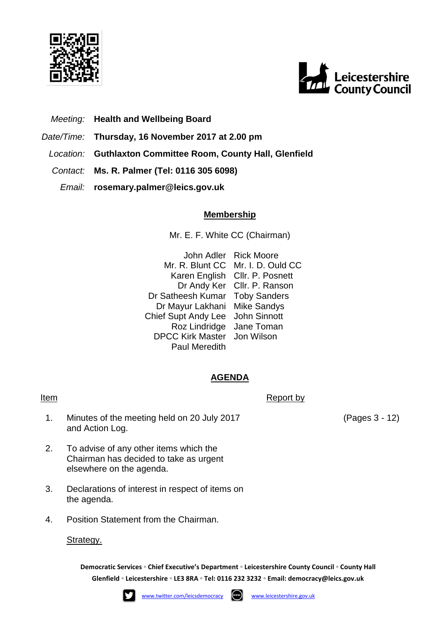



# *Meeting:* **Health and Wellbeing Board**

- *Date/Time:* **Thursday, 16 November 2017 at 2.00 pm**
- *Location:* **Guthlaxton Committee Room, County Hall, Glenfield**
- *Contact:* **Ms. R. Palmer (Tel: 0116 305 6098)**
	- *Email:* **rosemary.palmer@leics.gov.uk**

## **Membership**

Mr. E. F. White CC (Chairman)

John Adler Rick Moore Mr. R. Blunt CC Mr. I. D. Ould CC Karen English Cllr. P. Posnett Dr Andy Ker Cllr. P. Ranson Dr Satheesh Kumar Toby Sanders Dr Mayur Lakhani Mike Sandys Chief Supt Andy Lee John Sinnott Roz Lindridge Jane Toman DPCC Kirk Master Jon Wilson Paul Meredith

## **AGENDA**

### **Item** Report by

- 1. Minutes of the meeting held on 20 July 2017 and Action Log.
- 2. To advise of any other items which the Chairman has decided to take as urgent elsewhere on the agenda.
- 3. Declarations of interest in respect of items on the agenda.
- 4. Position Statement from the Chairman.

## Strategy.

**Democratic Services ◦ Chief Executive's Department ◦ Leicestershire County Council ◦ County Hall Glenfield ◦ Leicestershire ◦ LE3 8RA ◦ Tel: 0116 232 3232 ◦ Email: [democracy@leics.gov.uk](mailto:democracy@leics.gov.uk)**





(Pages 3 - 12)